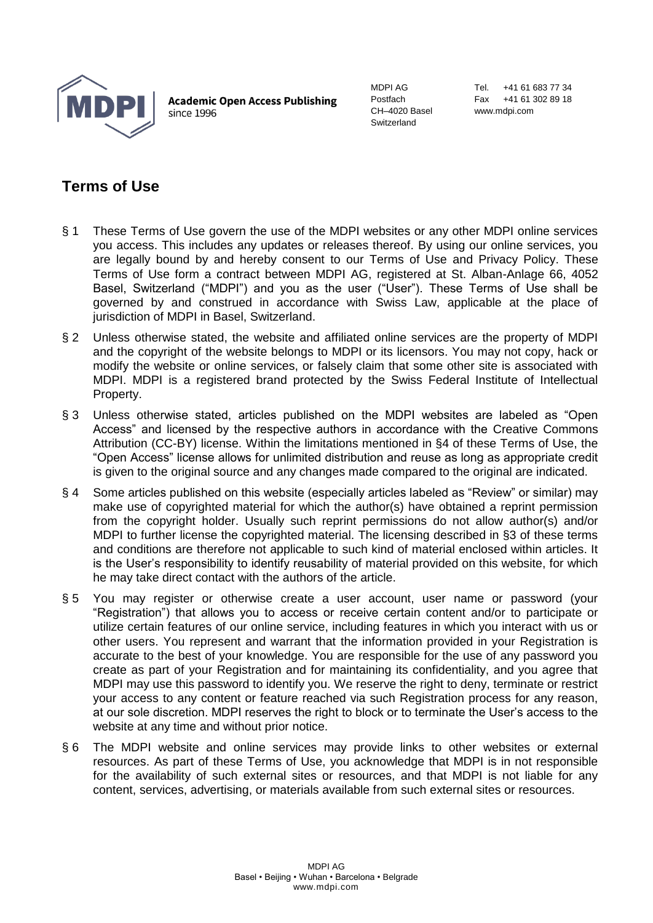

**Academic Open Access Publishing** since 1996

MDPI AG Postfach CH–4020 Basel Switzerland

Tel. +41 61 683 77 34 Fax +41 61 302 89 18 www.mdpi.com

## **Terms of Use**

- § 1 These Terms of Use govern the use of the MDPI websites or any other MDPI online services you access. This includes any updates or releases thereof. By using our online services, you are legally bound by and hereby consent to our Terms of Use and Privacy Policy. These Terms of Use form a contract between MDPI AG, registered at St. Alban-Anlage 66, 4052 Basel, Switzerland ("MDPI") and you as the user ("User"). These Terms of Use shall be governed by and construed in accordance with Swiss Law, applicable at the place of jurisdiction of MDPI in Basel, Switzerland.
- § 2 Unless otherwise stated, the website and affiliated online services are the property of MDPI and the copyright of the website belongs to MDPI or its licensors. You may not copy, hack or modify the website or online services, or falsely claim that some other site is associated with MDPI. MDPI is a registered brand protected by the Swiss Federal Institute of Intellectual Property.
- § 3 Unless otherwise stated, articles published on the MDPI websites are labeled as "Open Access" and licensed by the respective authors in accordance with the Creative Commons Attribution (CC-BY) license. Within the limitations mentioned in §4 of these Terms of Use, the "Open Access" license allows for unlimited distribution and reuse as long as appropriate credit is given to the original source and any changes made compared to the original are indicated.
- § 4 Some articles published on this website (especially articles labeled as "Review" or similar) may make use of copyrighted material for which the author(s) have obtained a reprint permission from the copyright holder. Usually such reprint permissions do not allow author(s) and/or MDPI to further license the copyrighted material. The licensing described in §3 of these terms and conditions are therefore not applicable to such kind of material enclosed within articles. It is the User's responsibility to identify reusability of material provided on this website, for which he may take direct contact with the authors of the article.
- § 5 You may register or otherwise create a user account, user name or password (your "Registration") that allows you to access or receive certain content and/or to participate or utilize certain features of our online service, including features in which you interact with us or other users. You represent and warrant that the information provided in your Registration is accurate to the best of your knowledge. You are responsible for the use of any password you create as part of your Registration and for maintaining its confidentiality, and you agree that MDPI may use this password to identify you. We reserve the right to deny, terminate or restrict your access to any content or feature reached via such Registration process for any reason, at our sole discretion. MDPI reserves the right to block or to terminate the User's access to the website at any time and without prior notice.
- § 6 The MDPI website and online services may provide links to other websites or external resources. As part of these Terms of Use, you acknowledge that MDPI is in not responsible for the availability of such external sites or resources, and that MDPI is not liable for any content, services, advertising, or materials available from such external sites or resources.